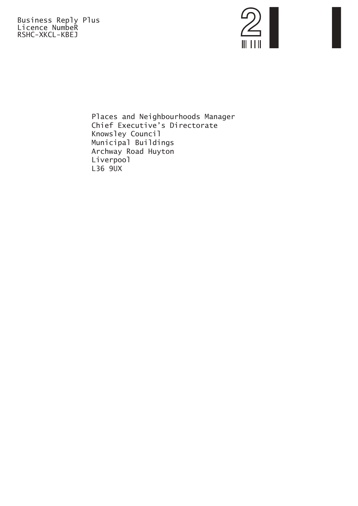Business Reply Plus Licence NumbeR RSHC-XKCL-KBEJ



Places and Neighbourhoods Manager Chief Executive's Directorate Knowsley Council Municipal Buildings Archway Road Huyton Liverpool L36 9UX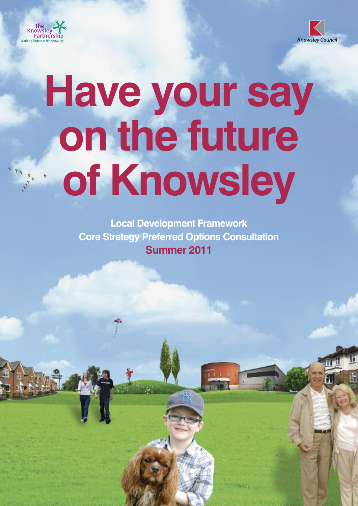



# **Have your say on the future of Knowsley**

**Local Development Framework Core Strategy Preferred Options Consultation Summer 2011**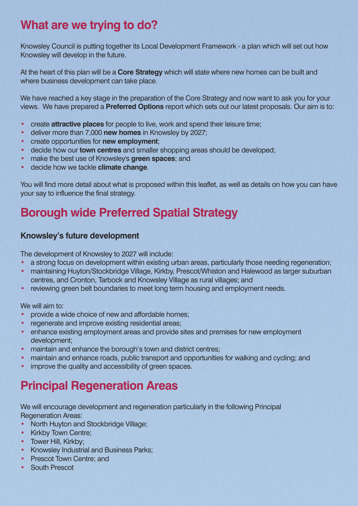## **What are we trying to do?**

Knowsley Council is putting together its Local Development Framework - a plan which will set out how Knowsley will develop in the future.

At the heart of this plan will be a **Core Strategy** which will state where new homes can be built and where business development can take place.

We have reached a key stage in the preparation of the Core Strategy and now want to ask you for your views. We have prepared a **Preferred Options** report which sets out our latest proposals. Our aim is to:

- create **attractive places** for people to live, work and spend their leisure time;
- deliver more than 7,000 **new homes** in Knowsley by 2027;
- create opportunities for **new employment**;
- decide how our **town centres** and smaller shopping areas should be developed;
- make the best use of Knowsley's **green spaces**; and
- decide how we tackle **climate change**.

You will find more detail about what is proposed within this leaflet, as well as details on how you can have your say to influence the final strategy.

## **Borough wide Preferred Spatial Strategy**

#### **Knowsley's future development**

The development of Knowsley to 2027 will include:

- a strong focus on development within existing urban areas, particularly those needing regeneration;
- maintaining Huyton/Stockbridge Village, Kirkby, Prescot/Whiston and Halewood as larger suburban centres, and Cronton, Tarbock and Knowsley Village as rural villages; and
- reviewing green belt boundaries to meet long term housing and employment needs.

We will aim to:

- provide a wide choice of new and affordable homes;
- regenerate and improve existing residential areas;
- enhance existing employment areas and provide sites and premises for new employment development;
- maintain and enhance the borough's town and district centres;
- maintain and enhance roads, public transport and opportunities for walking and cycling; and
- improve the quality and accessibility of green spaces.

## **Principal Regeneration Areas**

We will encourage development and regeneration particularly in the following Principal Regeneration Areas:

- North Huyton and Stockbridge Village;
- Kirkby Town Centre;
- Tower Hill, Kirkby:
- Knowsley Industrial and Business Parks;
- **Prescot Town Centre: and**
- South Prescot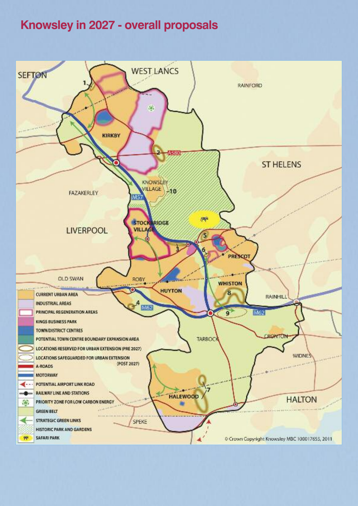## **Knowsley in 2027 - overall proposals**

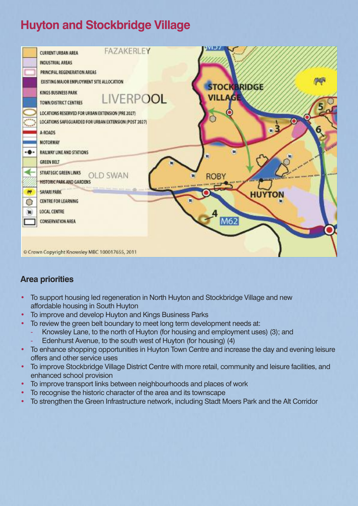## **Huyton and Stockbridge Village**

| <br><b>Magan</b><br>-6.<br>$\mathbf{r}$<br>∩ | FAZAKERLEY<br><b>CURRENT URBAN AREA</b><br><b>INDUSTRIAL AREAS</b><br>PRINCIPAL REGENERATION AREAS<br>EXISTING MAJOR EMPLOYMENT SITE ALLOCATION<br>KINGS BUSINESS PARK<br><b>LIVERPOOL</b><br>TOWN/DISTRICT CENTRES<br>LOCATIONS RESERVED FOR URBAN EXTENSION (PRE 2027)<br>LOCATIONS SAFEGUARDED FOR URBAN EXTENSION (POST 2027)<br>A-ROADS<br><b>MOTORWAY</b><br><b>RAILWAY LINE AND STATIONS</b><br><b>GREEN BELT</b><br>STRATEGIC GREEN LINKS<br><b>OLD SWAN</b><br><b>HISTORIC PARK AND GARDENS</b><br>SAFARI PARK<br>CENTRE FOR LEARNING<br>LOCAL CENTRE<br>CONSERVATION AREA | I THE NEW YORK FIRE THE THE WAY | <b>STOCKBRIDGE</b><br><b>VILLAGE</b><br><b>ROBY</b><br>M62 | O<br><b>HUYTON</b> |  |
|----------------------------------------------|-------------------------------------------------------------------------------------------------------------------------------------------------------------------------------------------------------------------------------------------------------------------------------------------------------------------------------------------------------------------------------------------------------------------------------------------------------------------------------------------------------------------------------------------------------------------------------------|---------------------------------|------------------------------------------------------------|--------------------|--|
|                                              | Crown Copyright Knowsley MBC 100017655, 2011                                                                                                                                                                                                                                                                                                                                                                                                                                                                                                                                        |                                 |                                                            |                    |  |

- To support housing led regeneration in North Huyton and Stockbridge Village and new affordable housing in South Huyton
- To improve and develop Huyton and Kings Business Parks
	- To review the green belt boundary to meet long term development needs at:
		- Knowsley Lane, to the north of Huyton (for housing and employment uses) (3); and
		- Edenhurst Avenue, to the south west of Huyton (for housing) (4)
- To enhance shopping opportunities in Huyton Town Centre and increase the day and evening leisure offers and other service uses
- To improve Stockbridge Village District Centre with more retail, community and leisure facilities, and enhanced school provision
- To improve transport links between neighbourhoods and places of work
- To recognise the historic character of the area and its townscape
- To strengthen the Green Infrastructure network, including Stadt Moers Park and the Alt Corridor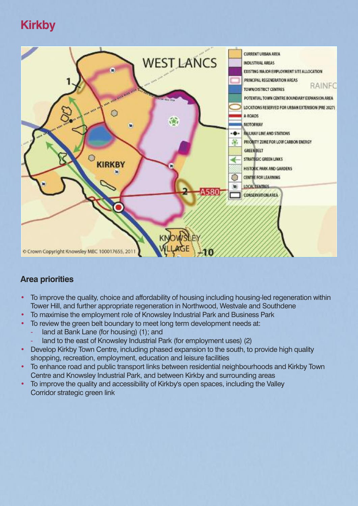## **Kirkby**



- To improve the quality, choice and affordability of housing including housing-led regeneration within Tower Hill, and further appropriate regeneration in Northwood, Westvale and Southdene
- To maximise the employment role of Knowsley Industrial Park and Business Park
- To review the green belt boundary to meet long term development needs at:
	- land at Bank Lane (for housing) (1); and
		- land to the east of Knowsley Industrial Park (for employment uses) (2)
- Develop Kirkby Town Centre, including phased expansion to the south, to provide high quality shopping, recreation, employment, education and leisure facilities
- To enhance road and public transport links between residential neighbourhoods and Kirkby Town Centre and Knowsley Industrial Park, and between Kirkby and surrounding areas
- To improve the quality and accessibility of Kirkby's open spaces, including the Valley Corridor strategic green link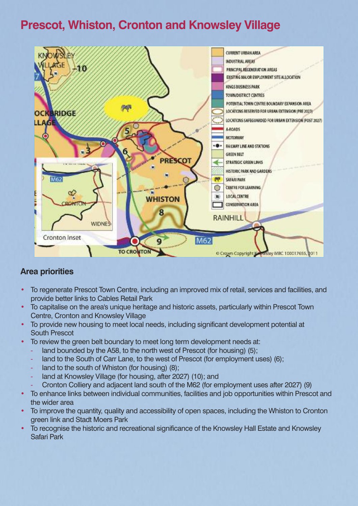## **Prescot, Whiston, Cronton and Knowsley Village**



- To regenerate Prescot Town Centre, including an improved mix of retail, services and facilities, and provide better links to Cables Retail Park
- To capitalise on the area's unique heritage and historic assets, particularly within Prescot Town Centre, Cronton and Knowsley Village
- To provide new housing to meet local needs, including significant development potential at South Prescot
- To review the green belt boundary to meet long term development needs at:
	- land bounded by the A58, to the north west of Prescot (for housing) (5);
	- land to the South of Carr Lane, to the west of Prescot (for employment uses) (6):
	- land to the south of Whiston (for housing) (8);
	- land at Knowsley Village (for housing, after 2027) (10); and
	- Cronton Colliery and adjacent land south of the M62 (for employment uses after 2027) (9)
- To enhance links between individual communities, facilities and job opportunities within Prescot and the wider area
- To improve the quantity, quality and accessibility of open spaces, including the Whiston to Cronton green link and Stadt Moers Park
- To recognise the historic and recreational significance of the Knowsley Hall Estate and Knowsley Safari Park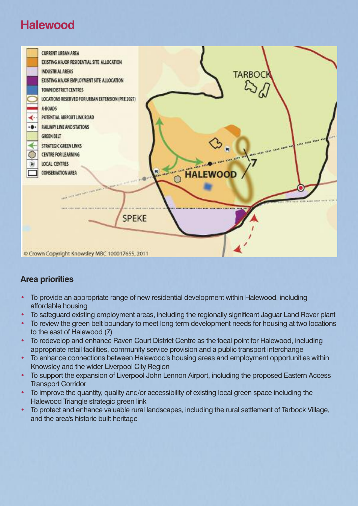## **Halewood**



- To provide an appropriate range of new residential development within Halewood, including affordable housing
- To safeguard existing employment areas, including the regionally significant Jaguar Land Rover plant
- To review the green belt boundary to meet long term development needs for housing at two locations to the east of Halewood (7)
- To redevelop and enhance Raven Court District Centre as the focal point for Halewood, including appropriate retail facilities, community service provision and a public transport interchange
- To enhance connections between Halewood's housing areas and employment opportunities within Knowsley and the wider Liverpool City Region
- To support the expansion of Liverpool John Lennon Airport, including the proposed Eastern Access Transport Corridor
- To improve the quantity, quality and/or accessibility of existing local green space including the Halewood Triangle strategic green link
- To protect and enhance valuable rural landscapes, including the rural settlement of Tarbock Village, and the area's historic built heritage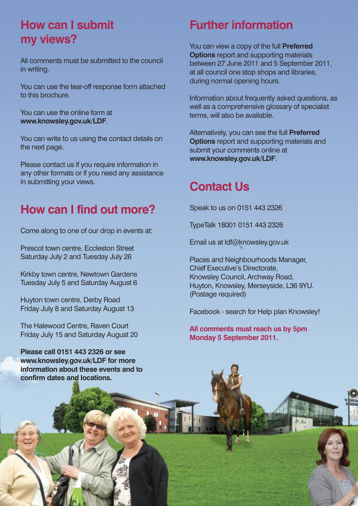## **How can I submit my views?**

All comments must be submitted to the council in writing.

You can use the tear-off response form attached to this brochure.

You can use the online form at **www.knowsley.gov.uk/LDF**.

You can write to us using the contact details on the next page.

Please contact us if you require information in any other formats or if you need any assistance in submitting your views.

## **How can I find out more?**

Come along to one of our drop in events at:

Prescot town centre, Eccleston Street Saturday July 2 and Tuesday July 26

Kirkby town centre, Newtown Gardens Tuesday July 5 and Saturday August 6

Huyton town centre, Derby Road Friday July 8 and Saturday August 13

The Halewood Centre, Raven Court Friday July 15 and Saturday August 20

**Please call 0151 443 2326 or see www.knowsley.gov.uk/LDF for more information about these events and to confirm dates and locations.**

## **Further information**

You can view a copy of the full **Preferred Options** report and supporting materials between 27 June 2011 and 5 September 2011, at all council one stop shops and libraries, during normal opening hours.

Information about frequently asked questions, as well as a comprehensive glossary of specialist terms, will also be available.

Alternatively, you can see the full **Preferred Options** report and supporting materials and submit your comments online at **www.knowsley.gov.uk/LDF**.

## **Contact Us**

Speak to us on 0151 443 2326

TypeTalk 18001 0151 443 2326

Email us at ldf@knowsley.gov.uk

Places and Neighbourhoods Manager, Chief Executive's Directorate, Knowsley Council, Archway Road, Huyton, Knowsley, Merseyside, L36 9YU. (Postage required)

Facebook - search for Help plan Knowsley!

**All comments must reach us by 5pm Monday 5 September 2011.**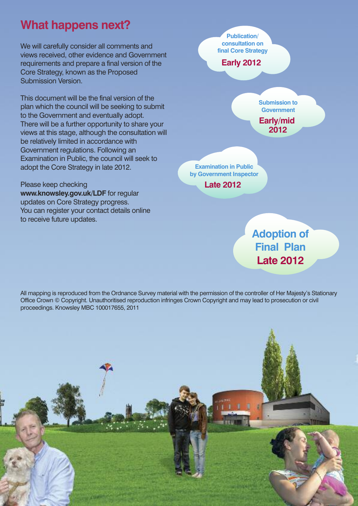## **What happens next?**

We will carefully consider all comments and views received, other evidence and Government requirements and prepare a final version of the Core Strategy, known as the Proposed Submission Version.

This document will be the final version of the plan which the council will be seeking to submit to the Government and eventually adopt. There will be a further opportunity to share your views at this stage, although the consultation will be relatively limited in accordance with Government regulations. Following an Examination in Public, the council will seek to adopt the Core Strategy in late 2012.

Please keep checking **www.knowsley.gov.uk/LDF** for regular updates on Core Strategy progress. You can register your contact details online to receive future updates.



**Final Plan Late 2012**

All mapping is reproduced from the Ordnance Survey material with the permission of the controller of Her Majesty's Stationary Office Crown © Copyright. Unauthoritised reproduction infringes Crown Copyright and may lead to prosecution or civil proceedings. Knowsley MBC 100017655, 2011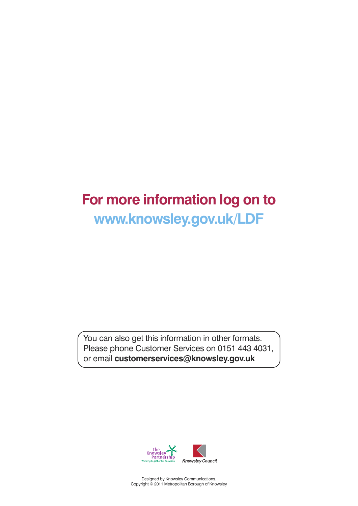## **For more information log on to www.knowsley.gov.uk/LDF**

You can also get this information in other formats. Please phone Customer Services on 0151 443 4031, or email **customerservices@knowsley.gov.uk**



Designed by Knowsley Communications. Copyright © 2011 Metropolitan Borough of Knowsley